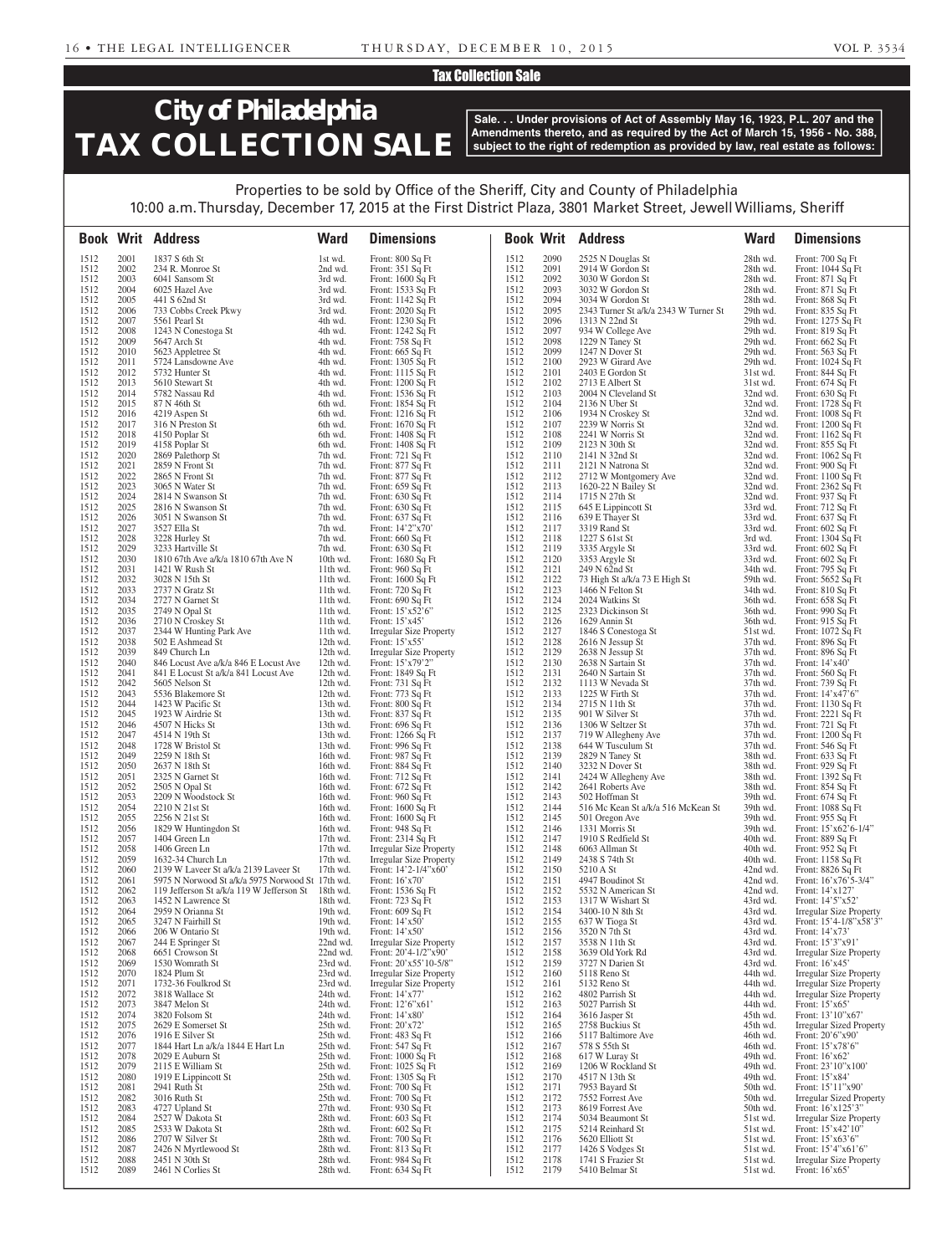### Tax Collection Sale

# **City of Philadelphia TAX COLLECTION SALE**

**Sale. . . Under provisions of Act of Assembly May 16, 1923, P.L. 207 and the Amendments thereto, and as required by the Act of March 15, 1956 - No. 388, subject to the right of redemption as provided by law, real estate as follows:**

### Properties to be sold by Office of the Sheriff, City and County of Philadelphia 10:00 a.m. Thursday, December 17, 2015 at the First District Plaza, 3801 Market Street, Jewell Williams, Sheriff

|              |              | <b>Book Writ Address</b>                                                      | <b>Ward</b>          | <b>Dimensions</b>                                       |              |              | <b>Book Writ Address</b>                                  | <b>Ward</b>          | <b>Dimensions</b>                                                |
|--------------|--------------|-------------------------------------------------------------------------------|----------------------|---------------------------------------------------------|--------------|--------------|-----------------------------------------------------------|----------------------|------------------------------------------------------------------|
| 1512         | 2001         | 1837 S 6th St                                                                 | 1st wd.              | Front: 800 Sq Ft                                        | 1512         | 2090         | 2525 N Douglas St                                         | 28th wd.             | Front: 700 Sq Ft                                                 |
| 1512         | 2002         | 234 R. Monroe St                                                              | 2nd wd.              | Front: 351 Sq Ft                                        | 1512         | 2091         | 2914 W Gordon St                                          | 28th wd.             | Front: 1044 Sq Ft                                                |
| 1512         | 2003         | 6041 Sansom St                                                                | 3rd wd.              | Front: 1600 Sq Ft                                       | 1512         | 2092         | 3030 W Gordon St                                          | 28th wd.             | Front: 871 Sq Ft                                                 |
| 1512         | 2004         | 6025 Hazel Ave                                                                | 3rd wd.              | Front: 1533 Sq Ft                                       | 1512         | 2093         | 3032 W Gordon St                                          | 28th wd.             | Front: 871 Sq Ft                                                 |
| 1512<br>1512 | 2005<br>2006 | 441 S 62nd St<br>733 Cobbs Creek Pkwy                                         | 3rd wd.<br>3rd wd.   | Front: 1142 Sq Ft<br>Front: 2020 Sq Ft                  | 1512<br>1512 | 2094<br>2095 | 3034 W Gordon St<br>2343 Turner St a/k/a 2343 W Turner St | 28th wd.<br>29th wd. | Front: 868 Sq Ft                                                 |
| 1512         | 2007         | 5561 Pearl St                                                                 | 4th wd.              | Front: 1230 Sq Ft                                       | 1512         | 2096         | 1313 N 22nd St                                            | 29th wd.             | Front: 835 Sq Ft<br>Front: 1275 Sq Ft                            |
| 1512         | 2008         | 1243 N Conestoga St                                                           | 4th wd.              | Front: 1242 Sq Ft                                       | 1512         | 2097         | 934 W College Ave                                         | 29th wd.             | Front: 819 Sq Ft                                                 |
| 1512         | 2009         | 5647 Arch St                                                                  | 4th wd.              | Front: 758 Sq Ft                                        | 1512         | 2098         | 1229 N Taney St                                           | 29th wd.             | Front: 662 Sq Ft                                                 |
| 1512         | 2010         | 5623 Appletree St                                                             | 4th wd.              | Front: 665 Sq Ft                                        | 1512         | 2099         | 1247 N Dover St                                           | 29th wd.             | Front: 563 Sq Ft                                                 |
| 1512         | 2011         | 5724 Lansdowne Ave                                                            | 4th wd.              | Front: 1305 Sq Ft                                       | 1512         | 2100         | 2923 W Girard Ave                                         | 29th wd.             | Front: 1024 Sq Ft                                                |
| 1512<br>1512 | 2012<br>2013 | 5732 Hunter St<br>5610 Stewart St                                             | 4th wd.<br>4th wd.   | Front: 1115 Sq Ft                                       | 1512<br>1512 | 2101<br>2102 | 2403 E Gordon St<br>2713 E Albert St                      | 31st wd.<br>31st wd. | Front: 844 Sq Ft                                                 |
| 1512         | 2014         | 5782 Nassau Rd                                                                | 4th wd.              | Front: 1200 Sq Ft<br>Front: 1536 Sq Ft                  | 1512         | 2103         | 2004 N Cleveland St                                       | 32nd wd.             | Front: 674 Sq Ft<br>Front: 630 Sq Ft                             |
| 1512         | 2015         | 87 N 46th St                                                                  | 6th wd.              | Front: 1854 Sq Ft                                       | 1512         | 2104         | 2136 N Uber St                                            | 32nd wd.             | Front: 1728 Sq Ft                                                |
| 1512         | 2016         | 4219 Aspen St                                                                 | 6th wd.              | Front: 1216 Sq Ft                                       | 1512         | 2106         | 1934 N Croskey St                                         | 32nd wd.             | Front: 1008 Sq Ft                                                |
| 1512         | 2017         | 316 N Preston St                                                              | 6th wd.              | Front: 1670 Sq Ft                                       | 1512         | 2107         | 2239 W Norris St                                          | 32nd wd.             | Front: 1200 Sq Ft                                                |
| 1512         | 2018         | 4150 Poplar St                                                                | 6th wd.              | Front: 1408 Sq Ft                                       | 1512         | 2108         | 2241 W Norris St                                          | 32nd wd.             | Front: 1162 Sq Ft                                                |
| 1512<br>1512 | 2019<br>2020 | 4158 Poplar St<br>2869 Palethorp St                                           | 6th wd.<br>7th wd.   | Front: 1408 Sq Ft                                       | 1512<br>1512 | 2109<br>2110 | 2123 N 30th St<br>2141 N 32nd St                          | 32nd wd.<br>32nd wd. | Front: 855 Sq Ft                                                 |
| 1512         | 2021         | 2859 N Front St                                                               | 7th wd.              | Front: 721 Sq Ft<br>Front: 877 Sq Ft                    | 1512         | 2111         | 2121 N Natrona St                                         | 32nd wd.             | Front: $1062$ Sq Ft<br>Front: 900 Sq Ft                          |
| 1512         | 2022         | 2865 N Front St                                                               | 7th wd.              | Front: 877 Sq Ft                                        | 1512         | 2112         | 2712 W Montgomery Ave                                     | 32nd wd.             | Front: 1100 Sq Ft                                                |
| 1512         | 2023         | 3065 N Water St                                                               | 7th wd.              | Front: 659 Sq Ft                                        | 1512         | 2113         | 1620-22 N Bailey St                                       | 32nd wd.             | Front: 2362 Sq Ft                                                |
| 1512         | 2024         | 2814 N Swanson St                                                             | 7th wd.              | Front: 630 Sq Ft                                        | 1512         | 2114         | 1715 N 27th St                                            | 32nd wd.             | Front: 937 Sq Ft                                                 |
| 1512         | 2025         | 2816 N Swanson St                                                             | 7th wd.              | Front: 630 Sq Ft                                        | 1512         | 2115         | 645 E Lippincott St                                       | 33rd wd.             | Front: 712 Sq Ft                                                 |
| 1512<br>1512 | 2026<br>2027 | 3051 N Swanson St<br>3527 Ella St                                             | 7th wd.<br>7th wd.   | Front: 637 Sq Ft<br>Front: 14'2"x70'                    | 1512<br>1512 | 2116<br>2117 | 639 E Thayer St<br>3319 Rand St                           | 33rd wd.<br>33rd wd. | Front: 637 Sq Ft<br>Front: 602 Sq Ft                             |
| 1512         | 2028         | 3228 Hurley St                                                                | 7th wd.              | Front: 660 Sq Ft                                        | 1512         | 2118         | 1227 S 61st St                                            | 3rd wd.              | Front: 1304 Sq Ft                                                |
| 1512         | 2029         | 3233 Hartville St                                                             | 7th wd.              | Front: 630 Sq Ft                                        | 1512         | 2119         | 3335 Argyle St                                            | 33rd wd.             | Front: 602 Sq Ft                                                 |
| 1512         | 2030         | 1810 67th Ave a/k/a 1810 67th Ave N                                           | 10th wd.             | Front: 1680 Sq Ft                                       | 1512         | 2120         | 3353 Argyle St                                            | 33rd wd.             | Front: 602 Sq Ft                                                 |
| 1512         | 2031         | 1421 W Rush St                                                                | 11th wd.             | Front: 960 Sq Ft                                        | 1512         | 2121         | 249 N 62nd St                                             | 34th wd.             | Front: 795 Sq Ft                                                 |
| 1512         | 2032         | 3028 N 15th St                                                                | 11th wd.             | Front: 1600 Sq Ft                                       | 1512         | 2122         | 73 High St a/k/a 73 E High St                             | 59th wd.             | Front: 5652 Sq Ft                                                |
| 1512<br>1512 | 2033<br>2034 | 2737 N Gratz St<br>2727 N Garnet St                                           | 11th wd.<br>11th wd. | Front: 720 Sq Ft<br>Front: 690 Sq Ft                    | 1512<br>1512 | 2123<br>2124 | 1466 N Felton St<br>2024 Watkins St                       | 34th wd.<br>36th wd. | Front: 810 Sq Ft<br>Front: 658 Sq Ft                             |
| 1512         | 2035         | 2749 N Opal St                                                                | 11th wd.             | Front: $15'$ x52'6"                                     | 1512         | 2125         | 2323 Dickinson St                                         | 36th wd.             | Front: 990 Sq Ft                                                 |
| 1512         | 2036         | 2710 N Croskey St                                                             | 11th wd.             | Front: $15'x45'$                                        | 1512         | 2126         | 1629 Annin St                                             | 36th wd.             | Front: 915 Sq Ft                                                 |
| 1512         | 2037         | 2344 W Hunting Park Ave                                                       | 11th wd.             | <b>Irregular Size Property</b>                          | 1512         | 2127         | 1846 S Conestoga St                                       | 51st wd.             | Front: 1072 Sq Ft                                                |
| 1512         | 2038         | 502 E Ashmead St                                                              | 12th wd.             | Front: $15'x55'$                                        | 1512         | 2128         | 2616 N Jessup St                                          | 37th wd.             | Front: 896 Sq Ft                                                 |
| 1512         | 2039         | 849 Church Ln                                                                 | 12th wd.             | <b>Irregular Size Property</b>                          | 1512         | 2129         | 2638 N Jessup St                                          | 37th wd.             | Front: 896 Sq Ft                                                 |
| 1512<br>1512 | 2040<br>2041 | 846 Locust Ave a/k/a 846 E Locust Ave<br>841 E Locust St a/k/a 841 Locust Ave | 12th wd.<br>12th wd. | Front: 15'x79'2"<br>Front: 1849 Sq Ft                   | 1512<br>1512 | 2130<br>2131 | 2638 N Sartain St<br>2640 N Sartain St                    | 37th wd.<br>37th wd. | Front: $14'x40'$<br>Front: 560 Sq Ft                             |
| 1512         | 2042         | 5605 Nelson St                                                                | 12th wd.             | Front: 731 Sq Ft                                        | 1512         | 2132         | 1113 W Nevada St                                          | 37th wd.             | Front: 739 Sq Ft                                                 |
| 1512         | 2043         | 5536 Blakemore St                                                             | 12th wd.             | Front: 773 Sq Ft                                        | 1512         | 2133         | 1225 W Firth St                                           | $37th$ wd.           | Front: $14'x47'6"$                                               |
| 1512         | 2044         | 1423 W Pacific St                                                             | 13th wd.             | Front: 800 Sq Ft                                        | 1512         | 2134         | 2715 N 11th St                                            | 37th wd.             | Front: 1130 Sq Ft                                                |
| 1512<br>1512 | 2045<br>2046 | 1923 W Airdrie St<br>4507 N Hicks St                                          | 13th wd.<br>13th wd. | Front: 837 Sq Ft                                        | 1512<br>1512 | 2135<br>2136 | 901 W Silver St<br>1306 W Seltzer St                      | 37th wd.<br>37th wd. | Front: 2221 Sq Ft<br>Front: 721 Sq Ft                            |
| 1512         | 2047         | 4514 N 19th St                                                                | 13th wd.             | Front: 696 Sq Ft<br>Front: 1266 Sq Ft                   | 1512         | 2137         | 719 W Allegheny Ave                                       | 37th wd.             | Front: 1200 Sq Ft                                                |
| 1512         | 2048         | 1728 W Bristol St                                                             | 13th wd.             | Front: 996 Sq Ft                                        | 1512         | 2138         | 644 W Tusculum St                                         | 37th wd.             | Front: $546$ Sq Ft                                               |
| 1512         | 2049         | 2259 N 18th St                                                                | 16th wd.             | Front: 987 Sq Ft                                        | 1512         | 2139         | 2829 N Taney St                                           | 38th wd.             | Front: 633 Sq Ft                                                 |
| 1512         | 2050         | 2637 N 18th St                                                                | 16th wd.             | Front: 884 Sq Ft                                        | 1512         | 2140         | 3232 N Dover St                                           | 38th wd.             | Front: 929 Sq Ft                                                 |
| 1512<br>1512 | 2051<br>2052 | 2325 N Garnet St<br>2505 N Opal St                                            | 16th wd.<br>16th wd. | Front: 712 Sq Ft<br>Front: 672 Sq Ft                    | 1512<br>1512 | 2141<br>2142 | 2424 W Allegheny Ave<br>2641 Roberts Ave                  | 38th wd.<br>38th wd. | Front: 1392 Sq Ft<br>Front: 854 Sq Ft                            |
| 1512         | 2053         | 2209 N Woodstock St                                                           | 16th wd.             | Front: 960 Sq Ft                                        | 1512         | 2143         | 502 Hoffman St                                            | 39th wd.             | Front: 674 Sq Ft                                                 |
| 1512         | 2054         | 2210 N 21st St                                                                | 16th wd.             | Front: 1600 Sq Ft                                       | 1512         | 2144         | 516 Mc Kean St a/k/a 516 McKean St                        | 39th wd.             | Front: 1088 Sq Ft                                                |
| 1512         | 2055         | 2256 N 21st St                                                                | 16th wd.             | Front: 1600 Sq Ft                                       | 1512         | 2145         | 501 Oregon Ave                                            | 39th wd.             | Front: 955 Sq Ft                                                 |
| 1512<br>1512 | 2056<br>2057 | 1829 W Huntingdon St<br>1404 Green Ln                                         | 16th wd.<br>17th wd. | Front: 948 Sq Ft<br>Front: 2314 Sq Ft                   | 1512<br>1512 | 2146<br>2147 | 1331 Morris St<br>1910 S Redfield St                      | 39th wd.<br>40th wd. | Front: 15'x62'6-1/4"<br>Front: 889 Sq Ft                         |
| 1512         | 2058         | 1406 Green Ln                                                                 | 17th wd.             | <b>Irregular Size Property</b>                          | 1512         | 2148         | 6063 Allman St                                            | 40th wd.             | Front: 952 Sq Ft                                                 |
| 1512         | 2059         | 1632-34 Church Ln                                                             | 17th wd.             | <b>Irregular Size Property</b>                          | 1512         | 2149         | 2438 S 74th St                                            | 40th wd.             | Front: 1158 Sq Ft                                                |
| 1512         | 2060         | 2139 W Laveer St a/k/a 2139 Laveer St                                         | 17th wd.             | Front: 14'2-1/4"x60"                                    | 1512         | 2150         | 5210 A St                                                 | 42nd wd.             | Front: 8826 Sq Ft                                                |
| 1512         | 2061         | 5975 N Norwood St a/k/a 5975 Norwood St 17th wd.                              |                      | Front: $16'x70'$                                        | 1512         | 2151         | 4947 Boudinot St                                          | 42nd wd.             | Front: $16'x76'5-3/4"$                                           |
| 1512         | 2062         | 119 Jefferson St a/k/a 119 W Jefferson St                                     | 18th wd.             | Front: 1536 Sq Ft                                       | 1512         | 2152         | 5532 N American St                                        | 42nd wd.             | Front: 14'x127'                                                  |
| 1512<br>1512 | 2063<br>2064 | 1452 N Lawrence St<br>2959 N Orianna St                                       | 18th wd.<br>19th wd. | Front: 723 Sq Ft<br>Front: 609 Sq Ft                    | 1512<br>1512 | 2153<br>2154 | 1317 W Wishart St<br>3400-10 N 8th St                     | 43rd wd.<br>43rd wd. | Front: 14'5"x52"<br><b>Irregular Size Property</b>               |
| 1512         | 2065         | 3247 N Fairhill St                                                            | 19th wd.             | Front: 14'x50'                                          | 1512         | 2155         | 637 W Tioga St                                            | 43rd wd.             | Front: 15'4-1/8"x58'3"                                           |
| 1512         | 2066         | 206 W Ontario St                                                              | 19th wd.             | Front: $14'x50'$                                        | 1512         | 2156         | 3520 N 7th St                                             | 43rd wd.             | Front: 14'x73'                                                   |
| 1512         | 2067         | 244 E Springer St                                                             | 22nd wd.             | <b>Irregular Size Property</b>                          | 1512         | 2157         | 3538 N 11th St                                            | 43rd wd.             | Front: 15'3"x91'                                                 |
| 1512         | 2068         | 6651 Crowson St                                                               | 22nd wd.             | Front: 20'4-1/2"x90'                                    | 1512         | 2158         | 3639 Old York Rd                                          | 43rd wd.             | <b>Irregular Size Property</b>                                   |
| 1512<br>1512 | 2069<br>2070 | 1530 Womrath St<br>1824 Plum St                                               | 23rd wd.<br>23rd wd. | Front: 20'x55'10-5/8"<br><b>Irregular Size Property</b> | 1512<br>1512 | 2159<br>2160 | 3727 N Darien St<br>5118 Reno St                          | 43rd wd.<br>44th wd. | Front: 16'x45'                                                   |
| 1512         | 2071         | 1732-36 Foulkrod St                                                           | 23rd wd.             | Irregular Size Property                                 | 1512         | 2161         | 5132 Reno St                                              | 44th wd.             | <b>Irregular Size Property</b><br><b>Irregular Size Property</b> |
| 1512         | 2072         | 3818 Wallace St                                                               | 24th wd.             | Front: 14'x77'                                          | 1512         | 2162         | 4802 Parrish St                                           | 44th wd.             | <b>Irregular Size Property</b>                                   |
| 1512         | 2073         | 3847 Melon St                                                                 | 24th wd.             | Front: 12'6"x61'                                        | 1512         | 2163         | 5027 Parrish St                                           | 44th wd.             | Front: 15'x65'                                                   |
| 1512         | 2074         | 3820 Folsom St                                                                | 24th wd.             | Front: 14'x80'                                          | 1512         | 2164         | 3616 Jasper St                                            | 45th wd.             | Front: 13'10"x67'                                                |
| 1512<br>1512 | 2075<br>2076 | 2629 E Somerset St<br>1916 E Silver St                                        | 25th wd.<br>25th wd. | Front: 20'x72'<br>Front: 483 Sq Ft                      | 1512<br>1512 | 2165<br>2166 | 2758 Buckius St<br>5117 Baltimore Ave                     | 45th wd.<br>46th wd. | <b>Irregular Sized Property</b><br>Front: 20'6"x90"              |
| 1512         | 2077         | 1844 Hart Ln a/k/a 1844 E Hart Ln                                             | 25th wd.             | Front: 547 Sq Ft                                        | 1512         | 2167         | 578 S 55th St                                             | 46th wd.             | Front: 15'x78'6"                                                 |
| 1512         | 2078         | 2029 E Auburn St                                                              | 25th wd.             | Front: 1000 Sq Ft                                       | 1512         | 2168         | 617 W Luray St                                            | 49th wd.             | Front: 16'x62'                                                   |
| 1512         | 2079         | 2115 E William St                                                             | 25th wd.             | Front: 1025 Sq Ft                                       | 1512         | 2169         | 1206 W Rockland St                                        | 49th wd.             | Front: 23'10"x100"                                               |
| 1512         | 2080         | 1919 E Lippincott St                                                          | 25th wd.             | Front: 1305 Sq Ft                                       | 1512         | 2170         | 4517 N 13th St                                            | 49th wd.             | Front: 15'x84'                                                   |
| 1512<br>1512 | 2081<br>2082 | 2941 Ruth St<br>3016 Ruth St                                                  | 25th wd.<br>25th wd. | Front: 700 Sq Ft<br>Front: 700 Sq Ft                    | 1512<br>1512 | 2171<br>2172 | 7953 Bayard St<br>7552 Forrest Ave                        | 50th wd.<br>50th wd. | Front: 15'11"x90'<br><b>Irregular Sized Property</b>             |
| 1512         | 2083         | 4727 Upland St                                                                | 27th wd.             | Front: 930 Sq Ft                                        | 1512         | 2173         | 8619 Forrest Ave                                          | 50th wd.             | Front: 16'x125'3"                                                |
| 1512         | 2084         | 2527 W Dakota St                                                              | 28th wd.             | Front: 603 Sq Ft                                        | 1512         | 2174         | 5034 Beaumont St                                          | 51st wd.             | Irregular Size Property                                          |
| 1512         | 2085         | 2533 W Dakota St                                                              | 28th wd.             | Front: 602 Sq Ft                                        | 1512         | 2175         | 5214 Reinhard St                                          | 51st wd.             | Front: 15'x42'10"                                                |
| 1512<br>1512 | 2086<br>2087 | 2707 W Silver St<br>2426 N Myrtlewood St                                      | 28th wd.<br>28th wd. | Front: 700 Sq Ft<br>Front: 813 Sq Ft                    | 1512<br>1512 | 2176<br>2177 | 5620 Elliott St<br>1426 S Vodges St                       | 51st wd.<br>51st wd. | Front: 15'x63'6"<br>Front: 15'4"x61'6"                           |
| 1512         | 2088         | 2451 N 30th St                                                                | 28th wd.             | Front: 984 Sq Ft                                        | 1512         | 2178         | 1741 S Frazier St                                         | 51st wd.             | <b>Irregular Size Property</b>                                   |
| 1512         | 2089         | 2461 N Corlies St                                                             | 28th wd.             | Front: $634$ Sq Ft                                      | 1512         | 2179         | 5410 Belmar St                                            | 51st wd.             | Front: $16'x65'$                                                 |
|              |              |                                                                               |                      |                                                         |              |              |                                                           |                      |                                                                  |